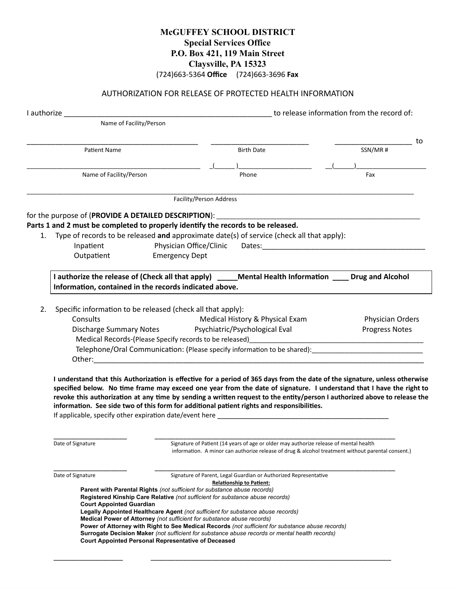## **McGUFFEY SCHOOL DISTRICT Special Services Office P.O. Box 421, 119 Main Street Claysville, PA 15323** (724)663-5364 **Office** (724)663-3696 **Fax**

## AUTHORIZATION FOR RELEASE OF PROTECTED HEALTH INFORMATION

|    | Name of Facility/Person                                                                                                                                                                                                                                                                                                                                                                                                                                                                                                                                                                                                                                                                                                                                   |                                 |                                                                                                                                                                                                                                                                                                                                                                                                                                                                                                                                                                         |  |                  |    |
|----|-----------------------------------------------------------------------------------------------------------------------------------------------------------------------------------------------------------------------------------------------------------------------------------------------------------------------------------------------------------------------------------------------------------------------------------------------------------------------------------------------------------------------------------------------------------------------------------------------------------------------------------------------------------------------------------------------------------------------------------------------------------|---------------------------------|-------------------------------------------------------------------------------------------------------------------------------------------------------------------------------------------------------------------------------------------------------------------------------------------------------------------------------------------------------------------------------------------------------------------------------------------------------------------------------------------------------------------------------------------------------------------------|--|------------------|----|
|    | Patient Name                                                                                                                                                                                                                                                                                                                                                                                                                                                                                                                                                                                                                                                                                                                                              |                                 | <b>Birth Date</b>                                                                                                                                                                                                                                                                                                                                                                                                                                                                                                                                                       |  | SSN/MR#          | to |
|    |                                                                                                                                                                                                                                                                                                                                                                                                                                                                                                                                                                                                                                                                                                                                                           |                                 |                                                                                                                                                                                                                                                                                                                                                                                                                                                                                                                                                                         |  |                  |    |
|    | Name of Facility/Person                                                                                                                                                                                                                                                                                                                                                                                                                                                                                                                                                                                                                                                                                                                                   |                                 | Phone                                                                                                                                                                                                                                                                                                                                                                                                                                                                                                                                                                   |  | Fax              |    |
|    |                                                                                                                                                                                                                                                                                                                                                                                                                                                                                                                                                                                                                                                                                                                                                           |                                 | Facility/Person Address                                                                                                                                                                                                                                                                                                                                                                                                                                                                                                                                                 |  |                  |    |
|    |                                                                                                                                                                                                                                                                                                                                                                                                                                                                                                                                                                                                                                                                                                                                                           |                                 |                                                                                                                                                                                                                                                                                                                                                                                                                                                                                                                                                                         |  |                  |    |
|    |                                                                                                                                                                                                                                                                                                                                                                                                                                                                                                                                                                                                                                                                                                                                                           |                                 | Parts 1 and 2 must be completed to properly identify the records to be released.                                                                                                                                                                                                                                                                                                                                                                                                                                                                                        |  |                  |    |
|    |                                                                                                                                                                                                                                                                                                                                                                                                                                                                                                                                                                                                                                                                                                                                                           |                                 | 1. Type of records to be released and approximate date(s) of service (check all that apply):                                                                                                                                                                                                                                                                                                                                                                                                                                                                            |  |                  |    |
|    | Inpatient                                                                                                                                                                                                                                                                                                                                                                                                                                                                                                                                                                                                                                                                                                                                                 |                                 | Physician Office/Clinic Dates:                                                                                                                                                                                                                                                                                                                                                                                                                                                                                                                                          |  |                  |    |
|    | Outpatient                                                                                                                                                                                                                                                                                                                                                                                                                                                                                                                                                                                                                                                                                                                                                | <b>Emergency Dept</b>           |                                                                                                                                                                                                                                                                                                                                                                                                                                                                                                                                                                         |  |                  |    |
|    |                                                                                                                                                                                                                                                                                                                                                                                                                                                                                                                                                                                                                                                                                                                                                           |                                 | I authorize the release of (Check all that apply) _____Mental Health Information ____ Drug and Alcohol                                                                                                                                                                                                                                                                                                                                                                                                                                                                  |  |                  |    |
|    | Information, contained in the records indicated above.                                                                                                                                                                                                                                                                                                                                                                                                                                                                                                                                                                                                                                                                                                    |                                 |                                                                                                                                                                                                                                                                                                                                                                                                                                                                                                                                                                         |  |                  |    |
|    |                                                                                                                                                                                                                                                                                                                                                                                                                                                                                                                                                                                                                                                                                                                                                           |                                 |                                                                                                                                                                                                                                                                                                                                                                                                                                                                                                                                                                         |  |                  |    |
| 2. | Specific information to be released (check all that apply):                                                                                                                                                                                                                                                                                                                                                                                                                                                                                                                                                                                                                                                                                               |                                 |                                                                                                                                                                                                                                                                                                                                                                                                                                                                                                                                                                         |  |                  |    |
|    | Consults                                                                                                                                                                                                                                                                                                                                                                                                                                                                                                                                                                                                                                                                                                                                                  | Medical History & Physical Exam |                                                                                                                                                                                                                                                                                                                                                                                                                                                                                                                                                                         |  | Physician Orders |    |
|    | Discharge Summary Notes Psychiatric/Psychological Eval<br><b>Progress Notes</b>                                                                                                                                                                                                                                                                                                                                                                                                                                                                                                                                                                                                                                                                           |                                 |                                                                                                                                                                                                                                                                                                                                                                                                                                                                                                                                                                         |  |                  |    |
|    |                                                                                                                                                                                                                                                                                                                                                                                                                                                                                                                                                                                                                                                                                                                                                           |                                 |                                                                                                                                                                                                                                                                                                                                                                                                                                                                                                                                                                         |  |                  |    |
|    | Telephone/Oral Communication: (Please specify information to be shared): The matter of the matter of the matter                                                                                                                                                                                                                                                                                                                                                                                                                                                                                                                                                                                                                                           |                                 |                                                                                                                                                                                                                                                                                                                                                                                                                                                                                                                                                                         |  |                  |    |
|    |                                                                                                                                                                                                                                                                                                                                                                                                                                                                                                                                                                                                                                                                                                                                                           |                                 |                                                                                                                                                                                                                                                                                                                                                                                                                                                                                                                                                                         |  |                  |    |
|    | Date of Signature                                                                                                                                                                                                                                                                                                                                                                                                                                                                                                                                                                                                                                                                                                                                         |                                 | I understand that this Authorization is effective for a period of 365 days from the date of the signature, unless otherwise<br>specified below. No time frame may exceed one year from the date of signature. I understand that I have the right to<br>revoke this authorization at any time by sending a written request to the entity/person I authorized above to release the<br>information. See side two of this form for additional patient rights and responsibilities.<br>Signature of Patient (14 years of age or older may authorize release of mental health |  |                  |    |
|    |                                                                                                                                                                                                                                                                                                                                                                                                                                                                                                                                                                                                                                                                                                                                                           |                                 | information. A minor can authorize release of drug & alcohol treatment without parental consent.)                                                                                                                                                                                                                                                                                                                                                                                                                                                                       |  |                  |    |
|    | Date of Signature<br>Signature of Parent, Legal Guardian or Authorized Representative<br><b>Relationship to Patient:</b><br>Parent with Parental Rights (not sufficient for substance abuse records)<br>Registered Kinship Care Relative (not sufficient for substance abuse records)<br><b>Court Appointed Guardian</b><br>Legally Appointed Healthcare Agent (not sufficient for substance abuse records)<br>Medical Power of Attorney (not sufficient for substance abuse records)<br>Power of Attorney with Right to See Medical Records (not sufficient for substance abuse records)<br>Surrogate Decision Maker (not sufficient for substance abuse records or mental health records)<br><b>Court Appointed Personal Representative of Deceased</b> |                                 |                                                                                                                                                                                                                                                                                                                                                                                                                                                                                                                                                                         |  |                  |    |

\_\_\_\_\_\_\_\_\_\_\_\_\_\_\_\_\_ \_\_\_\_\_\_\_\_\_\_\_\_\_\_\_\_\_\_\_\_\_\_\_\_\_\_\_\_\_\_\_\_\_\_\_\_\_\_\_\_\_\_\_\_\_\_\_\_\_\_\_\_\_\_\_\_\_\_\_